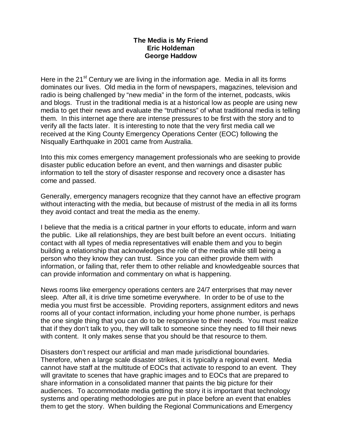## **The Media is My Friend Eric Holdeman George Haddow**

Here in the  $21^{st}$  Century we are living in the information age. Media in all its forms dominates our lives. Old media in the form of newspapers, magazines, television and radio is being challenged by "new media" in the form of the internet, podcasts, wikis and blogs. Trust in the traditional media is at a historical low as people are using new media to get their news and evaluate the "truthiness" of what traditional media is telling them. In this internet age there are intense pressures to be first with the story and to verify all the facts later. It is interesting to note that the very first media call we received at the King County Emergency Operations Center (EOC) following the Nisqually Earthquake in 2001 came from Australia.

Into this mix comes emergency management professionals who are seeking to provide disaster public education before an event, and then warnings and disaster public information to tell the story of disaster response and recovery once a disaster has come and passed.

Generally, emergency managers recognize that they cannot have an effective program without interacting with the media, but because of mistrust of the media in all its forms they avoid contact and treat the media as the enemy.

I believe that the media is a critical partner in your efforts to educate, inform and warn the public. Like all relationships, they are best built before an event occurs. Initiating contact with all types of media representatives will enable them and you to begin building a relationship that acknowledges the role of the media while still being a person who they know they can trust. Since you can either provide them with information, or failing that, refer them to other reliable and knowledgeable sources that can provide information and commentary on what is happening.

News rooms like emergency operations centers are 24/7 enterprises that may never sleep. After all, it is drive time sometime everywhere. In order to be of use to the media you must first be accessible. Providing reporters, assignment editors and news rooms all of your contact information, including your home phone number, is perhaps the one single thing that you can do to be responsive to their needs. You must realize that if they don't talk to you, they will talk to someone since they need to fill their news with content. It only makes sense that you should be that resource to them.

Disasters don't respect our artificial and man made jurisdictional boundaries. Therefore, when a large scale disaster strikes, it is typically a regional event. Media cannot have staff at the multitude of EOCs that activate to respond to an event. They will gravitate to scenes that have graphic images and to EOCs that are prepared to share information in a consolidated manner that paints the big picture for their audiences. To accommodate media getting the story it is important that technology systems and operating methodologies are put in place before an event that enables them to get the story. When building the Regional Communications and Emergency